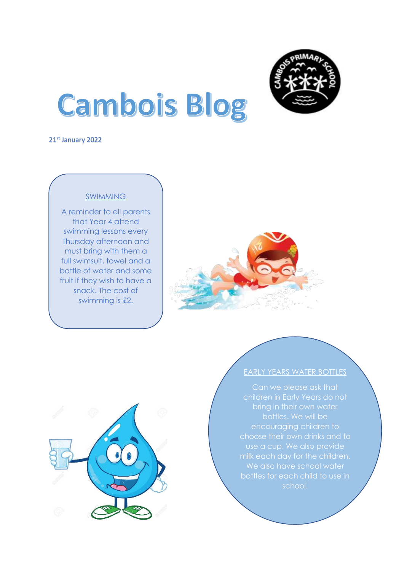

# **Cambois Blog**

21st January 2022

I

I



A reminder to all parents that Year 4 attend swimming lessons every Thursday afternoon and must bring with them a full swimsuit, towel and a bottle of water and some fruit if they wish to have a snack. The cost of swimming is £2.





## EARLY YEARS WATER BOTTLES

children in Early Years do not bottles. We will be encouraging children to choose their own drinks and to We also have school water school.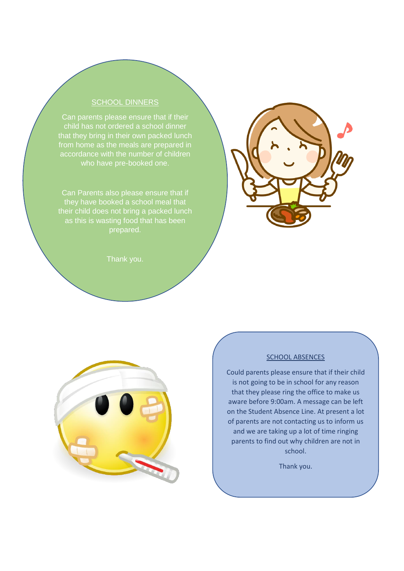## SCHOOL DINNERS

child has not ordered a school dinner that they bring in their own packed lunch from home as the meals are prepared in accordance with the number of children who have pre-booked one.

Can Parents also please ensure that if they have booked a school meal that their child does not bring a packed lunch as this is wasting food that has been prepared.





#### SCHOOL ABSENCES

Could parents please ensure that if their child is not going to be in school for any reason that they please ring the office to make us aware before 9:00am. A message can be left on the Student Absence Line. At present a lot of parents are not contacting us to inform us and we are taking up a lot of time ringing parents to find out why children are not in school.

Thank you.